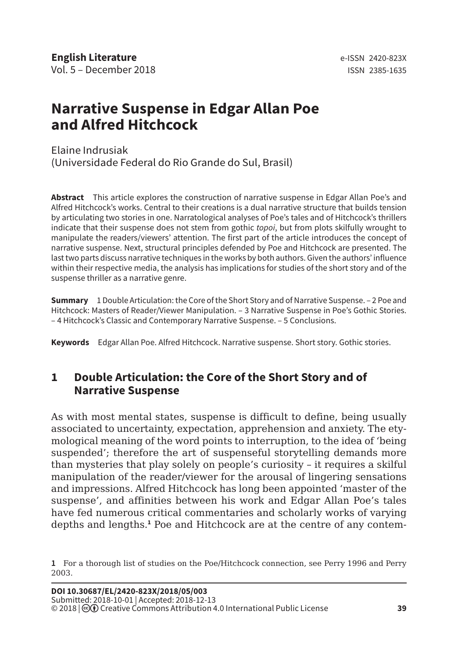# **Narrative Suspense in Edgar Allan Poe and Alfred Hitchcock**

Elaine Indrusiak (Universidade Federal do Rio Grande do Sul, Brasil)

**Abstract** This article explores the construction of narrative suspense in Edgar Allan Poe's and Alfred Hitchcock's works. Central to their creations is a dual narrative structure that builds tension by articulating two stories in one. Narratological analyses of Poe's tales and of Hitchcock's thrillers indicate that their suspense does not stem from gothic *topoi*, but from plots skilfully wrought to manipulate the readers/viewers' attention. The first part of the article introduces the concept of narrative suspense. Next, structural principles defended by Poe and Hitchcock are presented. The last two parts discuss narrative techniques in the works by both authors. Given the authors' influence within their respective media, the analysis has implications for studies of the short story and of the suspense thriller as a narrative genre.

**Summary** 1 Double Articulation: the Core of the Short Story and of Narrative Suspense. – 2 Poe and Hitchcock: Masters of Reader/Viewer Manipulation. – 3 Narrative Suspense in Poe's Gothic Stories. – 4 Hitchcock's Classic and Contemporary Narrative Suspense. – 5 Conclusions.

**Keywords** Edgar Allan Poe. Alfred Hitchcock. Narrative suspense. Short story. Gothic stories.

## **1 Double Articulation: the Core of the Short Story and of Narrative Suspense**

As with most mental states, suspense is difficult to define, being usually associated to uncertainty, expectation, apprehension and anxiety. The etymological meaning of the word points to interruption, to the idea of 'being suspended'; therefore the art of suspenseful storytelling demands more than mysteries that play solely on people's curiosity – it requires a skilful manipulation of the reader/viewer for the arousal of lingering sensations and impressions. Alfred Hitchcock has long been appointed 'master of the suspense', and affinities between his work and Edgar Allan Poe's tales have fed numerous critical commentaries and scholarly works of varying depths and lengths.**<sup>1</sup>** Poe and Hitchcock are at the centre of any contem-

**<sup>1</sup>** For a thorough list of studies on the Poe/Hitchcock connection, see Perry 1996 and Perry 2003.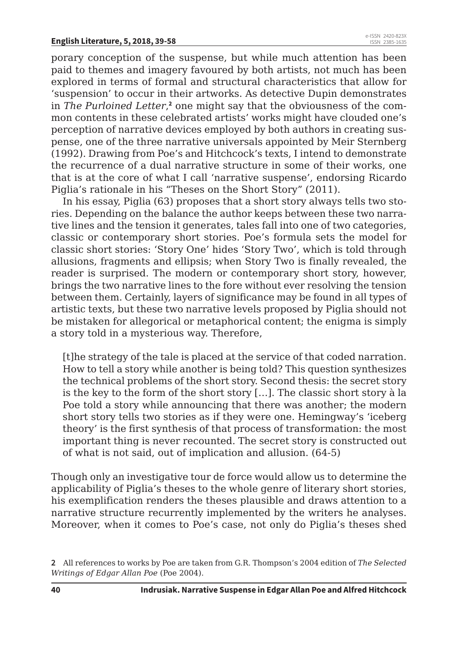porary conception of the suspense, but while much attention has been paid to themes and imagery favoured by both artists, not much has been explored in terms of formal and structural characteristics that allow for 'suspension' to occur in their artworks. As detective Dupin demonstrates in The Purloined Letter,<sup>2</sup> one might say that the obviousness of the common contents in these celebrated artists' works might have clouded one's perception of narrative devices employed by both authors in creating suspense, one of the three narrative universals appointed by Meir Sternberg (1992). Drawing from Poe's and Hitchcock's texts, I intend to demonstrate the recurrence of a dual narrative structure in some of their works, one that is at the core of what I call 'narrative suspense', endorsing Ricardo Piglia's rationale in his "Theses on the Short Story" (2011).

In his essay, Piglia (63) proposes that a short story always tells two stories. Depending on the balance the author keeps between these two narrative lines and the tension it generates, tales fall into one of two categories, classic or contemporary short stories. Poe's formula sets the model for classic short stories: 'Story One' hides 'Story Two', which is told through allusions, fragments and ellipsis; when Story Two is finally revealed, the reader is surprised. The modern or contemporary short story, however, brings the two narrative lines to the fore without ever resolving the tension between them. Certainly, layers of significance may be found in all types of artistic texts, but these two narrative levels proposed by Piglia should not be mistaken for allegorical or metaphorical content; the enigma is simply a story told in a mysterious way. Therefore,

[t]he strategy of the tale is placed at the service of that coded narration. How to tell a story while another is being told? This question synthesizes the technical problems of the short story. Second thesis: the secret story is the key to the form of the short story […]. The classic short story à la Poe told a story while announcing that there was another; the modern short story tells two stories as if they were one. Hemingway's 'iceberg theory' is the first synthesis of that process of transformation: the most important thing is never recounted. The secret story is constructed out of what is not said, out of implication and allusion. (64-5)

Though only an investigative tour de force would allow us to determine the applicability of Piglia's theses to the whole genre of literary short stories, his exemplification renders the theses plausible and draws attention to a narrative structure recurrently implemented by the writers he analyses. Moreover, when it comes to Poe's case, not only do Piglia's theses shed

**<sup>2</sup>** All references to works by Poe are taken from G.R. Thompson's 2004 edition of *The Selected Writings of Edgar Allan Poe* (Poe 2004).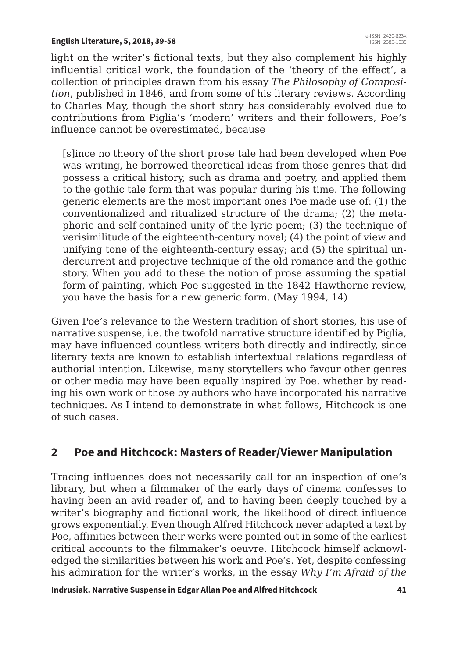light on the writer's fictional texts, but they also complement his highly influential critical work, the foundation of the 'theory of the effect', a collection of principles drawn from his essay *The Philosophy of Composition*, published in 1846, and from some of his literary reviews. According to Charles May, though the short story has considerably evolved due to contributions from Piglia's 'modern' writers and their followers, Poe's influence cannot be overestimated, because

[s]ince no theory of the short prose tale had been developed when Poe was writing, he borrowed theoretical ideas from those genres that did possess a critical history, such as drama and poetry, and applied them to the gothic tale form that was popular during his time. The following generic elements are the most important ones Poe made use of: (1) the conventionalized and ritualized structure of the drama; (2) the metaphoric and self-contained unity of the lyric poem; (3) the technique of verisimilitude of the eighteenth-century novel; (4) the point of view and unifying tone of the eighteenth-century essay; and (5) the spiritual undercurrent and projective technique of the old romance and the gothic story. When you add to these the notion of prose assuming the spatial form of painting, which Poe suggested in the 1842 Hawthorne review, you have the basis for a new generic form. (May 1994, 14)

Given Poe's relevance to the Western tradition of short stories, his use of narrative suspense, i.e. the twofold narrative structure identified by Piglia, may have influenced countless writers both directly and indirectly, since literary texts are known to establish intertextual relations regardless of authorial intention. Likewise, many storytellers who favour other genres or other media may have been equally inspired by Poe, whether by reading his own work or those by authors who have incorporated his narrative techniques. As I intend to demonstrate in what follows, Hitchcock is one of such cases.

#### **2 Poe and Hitchcock: Masters of Reader/Viewer Manipulation**

Tracing influences does not necessarily call for an inspection of one's library, but when a filmmaker of the early days of cinema confesses to having been an avid reader of, and to having been deeply touched by a writer's biography and fictional work, the likelihood of direct influence grows exponentially. Even though Alfred Hitchcock never adapted a text by Poe, affinities between their works were pointed out in some of the earliest critical accounts to the filmmaker's oeuvre. Hitchcock himself acknowledged the similarities between his work and Poe's. Yet, despite confessing his admiration for the writer's works, in the essay *Why I'm Afraid of the*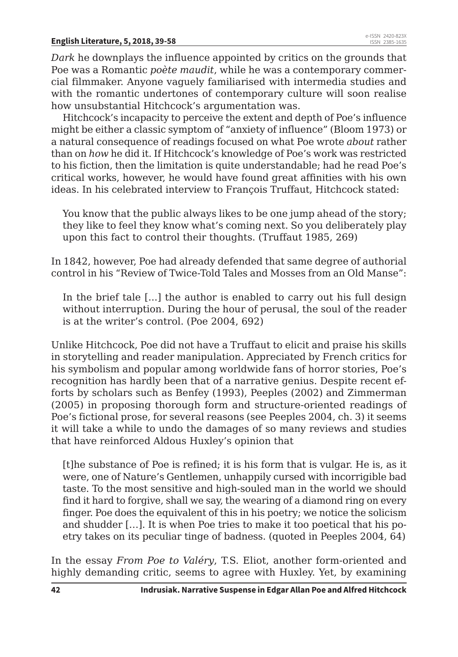*Dark* he downplays the influence appointed by critics on the grounds that Poe was a Romantic *poète maudit*, while he was a contemporary commercial filmmaker. Anyone vaguely familiarised with intermedia studies and with the romantic undertones of contemporary culture will soon realise how unsubstantial Hitchcock's argumentation was.

Hitchcock's incapacity to perceive the extent and depth of Poe's influence might be either a classic symptom of "anxiety of influence" (Bloom 1973) or a natural consequence of readings focused on what Poe wrote *about* rather than on *how* he did it. If Hitchcock's knowledge of Poe's work was restricted to his fiction, then the limitation is quite understandable; had he read Poe's critical works, however, he would have found great affinities with his own ideas. In his celebrated interview to François Truffaut, Hitchcock stated:

You know that the public always likes to be one jump ahead of the story; they like to feel they know what's coming next. So you deliberately play upon this fact to control their thoughts. (Truffaut 1985, 269)

In 1842, however, Poe had already defended that same degree of authorial control in his "Review of Twice-Told Tales and Mosses from an Old Manse":

In the brief tale [...] the author is enabled to carry out his full design without interruption. During the hour of perusal, the soul of the reader is at the writer's control. (Poe 2004, 692)

Unlike Hitchcock, Poe did not have a Truffaut to elicit and praise his skills in storytelling and reader manipulation. Appreciated by French critics for his symbolism and popular among worldwide fans of horror stories, Poe's recognition has hardly been that of a narrative genius. Despite recent efforts by scholars such as Benfey (1993), Peeples (2002) and Zimmerman (2005) in proposing thorough form and structure-oriented readings of Poe's fictional prose, for several reasons (see Peeples 2004, ch. 3) it seems it will take a while to undo the damages of so many reviews and studies that have reinforced Aldous Huxley's opinion that

[t]he substance of Poe is refined; it is his form that is vulgar. He is, as it were, one of Nature's Gentlemen, unhappily cursed with incorrigible bad taste. To the most sensitive and high-souled man in the world we should find it hard to forgive, shall we say, the wearing of a diamond ring on every finger. Poe does the equivalent of this in his poetry; we notice the solicism and shudder […]. It is when Poe tries to make it too poetical that his poetry takes on its peculiar tinge of badness. (quoted in Peeples 2004, 64)

In the essay *From Poe to Valéry*, T.S. Eliot, another form-oriented and highly demanding critic, seems to agree with Huxley. Yet, by examining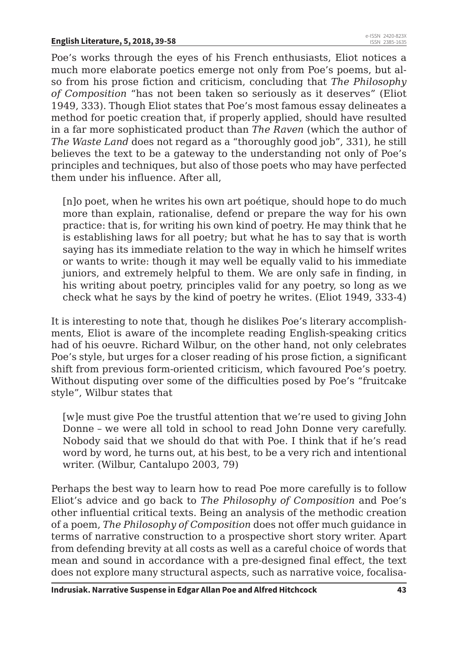Poe's works through the eyes of his French enthusiasts, Eliot notices a much more elaborate poetics emerge not only from Poe's poems, but also from his prose fiction and criticism, concluding that *The Philosophy of Composition* "has not been taken so seriously as it deserves" (Eliot 1949, 333). Though Eliot states that Poe's most famous essay delineates a method for poetic creation that, if properly applied, should have resulted in a far more sophisticated product than *The Raven* (which the author of *The Waste Land* does not regard as a "thoroughly good job", 331), he still believes the text to be a gateway to the understanding not only of Poe's principles and techniques, but also of those poets who may have perfected them under his influence. After all,

[n]o poet, when he writes his own art poétique, should hope to do much more than explain, rationalise, defend or prepare the way for his own practice: that is, for writing his own kind of poetry. He may think that he is establishing laws for all poetry; but what he has to say that is worth saying has its immediate relation to the way in which he himself writes or wants to write: though it may well be equally valid to his immediate juniors, and extremely helpful to them. We are only safe in finding, in his writing about poetry, principles valid for any poetry, so long as we check what he says by the kind of poetry he writes. (Eliot 1949, 333-4)

It is interesting to note that, though he dislikes Poe's literary accomplishments, Eliot is aware of the incomplete reading English-speaking critics had of his oeuvre. Richard Wilbur, on the other hand, not only celebrates Poe's style, but urges for a closer reading of his prose fiction, a significant shift from previous form-oriented criticism, which favoured Poe's poetry. Without disputing over some of the difficulties posed by Poe's "fruitcake style", Wilbur states that

[w]e must give Poe the trustful attention that we're used to giving John Donne – we were all told in school to read John Donne very carefully. Nobody said that we should do that with Poe. I think that if he's read word by word, he turns out, at his best, to be a very rich and intentional writer. (Wilbur, Cantalupo 2003, 79)

Perhaps the best way to learn how to read Poe more carefully is to follow Eliot's advice and go back to *The Philosophy of Composition* and Poe's other influential critical texts. Being an analysis of the methodic creation of a poem, *The Philosophy of Composition* does not offer much guidance in terms of narrative construction to a prospective short story writer. Apart from defending brevity at all costs as well as a careful choice of words that mean and sound in accordance with a pre-designed final effect, the text does not explore many structural aspects, such as narrative voice, focalisa-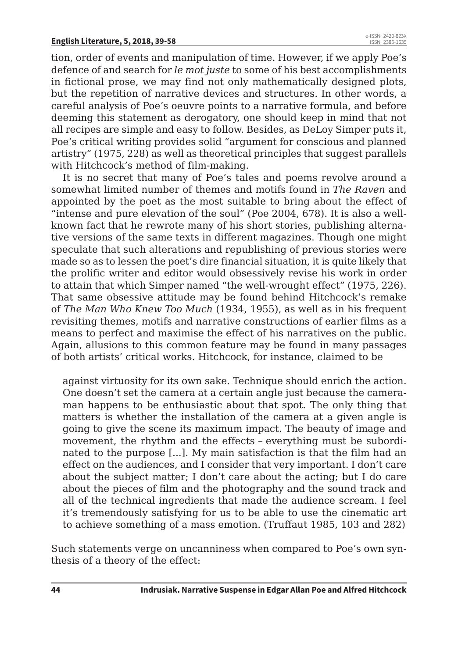tion, order of events and manipulation of time. However, if we apply Poe's defence of and search for *le mot juste* to some of his best accomplishments in fictional prose, we may find not only mathematically designed plots, but the repetition of narrative devices and structures. In other words, a careful analysis of Poe's oeuvre points to a narrative formula, and before deeming this statement as derogatory, one should keep in mind that not all recipes are simple and easy to follow. Besides, as DeLoy Simper puts it, Poe's critical writing provides solid "argument for conscious and planned artistry" (1975, 228) as well as theoretical principles that suggest parallels with Hitchcock's method of film-making.

It is no secret that many of Poe's tales and poems revolve around a somewhat limited number of themes and motifs found in *The Raven* and appointed by the poet as the most suitable to bring about the effect of "intense and pure elevation of the soul" (Poe 2004, 678). It is also a wellknown fact that he rewrote many of his short stories, publishing alternative versions of the same texts in different magazines. Though one might speculate that such alterations and republishing of previous stories were made so as to lessen the poet's dire financial situation, it is quite likely that the prolific writer and editor would obsessively revise his work in order to attain that which Simper named "the well-wrought effect" (1975, 226). That same obsessive attitude may be found behind Hitchcock's remake of *The Man Who Knew Too Much* (1934, 1955), as well as in his frequent revisiting themes, motifs and narrative constructions of earlier films as a means to perfect and maximise the effect of his narratives on the public. Again, allusions to this common feature may be found in many passages of both artists' critical works. Hitchcock, for instance, claimed to be

against virtuosity for its own sake. Technique should enrich the action. One doesn't set the camera at a certain angle just because the cameraman happens to be enthusiastic about that spot. The only thing that matters is whether the installation of the camera at a given angle is going to give the scene its maximum impact. The beauty of image and movement, the rhythm and the effects – everything must be subordinated to the purpose [...]. My main satisfaction is that the film had an effect on the audiences, and I consider that very important. I don't care about the subject matter; I don't care about the acting; but I do care about the pieces of film and the photography and the sound track and all of the technical ingredients that made the audience scream. I feel it's tremendously satisfying for us to be able to use the cinematic art to achieve something of a mass emotion. (Truffaut 1985, 103 and 282)

Such statements verge on uncanniness when compared to Poe's own synthesis of a theory of the effect: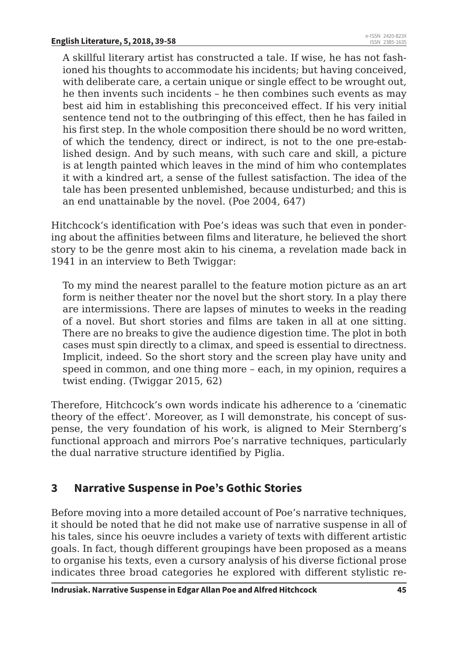A skillful literary artist has constructed a tale. If wise, he has not fashioned his thoughts to accommodate his incidents; but having conceived, with deliberate care, a certain unique or single effect to be wrought out, he then invents such incidents – he then combines such events as may best aid him in establishing this preconceived effect. If his very initial sentence tend not to the outbringing of this effect, then he has failed in his first step. In the whole composition there should be no word written, of which the tendency, direct or indirect, is not to the one pre-established design. And by such means, with such care and skill, a picture is at length painted which leaves in the mind of him who contemplates it with a kindred art, a sense of the fullest satisfaction. The idea of the tale has been presented unblemished, because undisturbed; and this is an end unattainable by the novel. (Poe 2004, 647)

Hitchcock's identification with Poe's ideas was such that even in pondering about the affinities between films and literature, he believed the short story to be the genre most akin to his cinema, a revelation made back in 1941 in an interview to Beth Twiggar:

To my mind the nearest parallel to the feature motion picture as an art form is neither theater nor the novel but the short story. In a play there are intermissions. There are lapses of minutes to weeks in the reading of a novel. But short stories and films are taken in all at one sitting. There are no breaks to give the audience digestion time. The plot in both cases must spin directly to a climax, and speed is essential to directness. Implicit, indeed. So the short story and the screen play have unity and speed in common, and one thing more – each, in my opinion, requires a twist ending. (Twiggar 2015, 62)

Therefore, Hitchcock's own words indicate his adherence to a 'cinematic theory of the effect'. Moreover, as I will demonstrate, his concept of suspense, the very foundation of his work, is aligned to Meir Sternberg's functional approach and mirrors Poe's narrative techniques, particularly the dual narrative structure identified by Piglia.

## **3 Narrative Suspense in Poe's Gothic Stories**

Before moving into a more detailed account of Poe's narrative techniques, it should be noted that he did not make use of narrative suspense in all of his tales, since his oeuvre includes a variety of texts with different artistic goals. In fact, though different groupings have been proposed as a means to organise his texts, even a cursory analysis of his diverse fictional prose indicates three broad categories he explored with different stylistic re-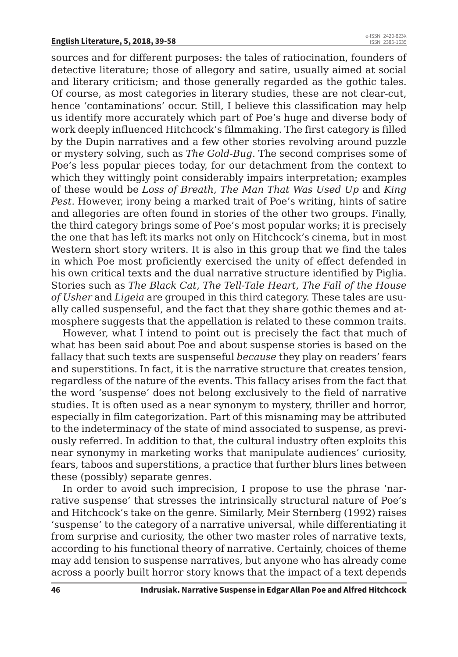sources and for different purposes: the tales of ratiocination, founders of detective literature; those of allegory and satire, usually aimed at social and literary criticism; and those generally regarded as the gothic tales. Of course, as most categories in literary studies, these are not clear-cut, hence 'contaminations' occur. Still, I believe this classification may help us identify more accurately which part of Poe's huge and diverse body of work deeply influenced Hitchcock's filmmaking. The first category is filled by the Dupin narratives and a few other stories revolving around puzzle or mystery solving, such as *The Gold-Bug*. The second comprises some of Poe's less popular pieces today, for our detachment from the context to which they wittingly point considerably impairs interpretation; examples of these would be *Loss of Breath*, *The Man That Was Used Up* and *King Pest*. However, irony being a marked trait of Poe's writing, hints of satire and allegories are often found in stories of the other two groups. Finally, the third category brings some of Poe's most popular works; it is precisely the one that has left its marks not only on Hitchcock's cinema, but in most Western short story writers. It is also in this group that we find the tales in which Poe most proficiently exercised the unity of effect defended in his own critical texts and the dual narrative structure identified by Piglia. Stories such as *The Black Cat*, *The Tell-Tale Heart*, *The Fall of the House of Usher* and *Ligeia* are grouped in this third category. These tales are usually called suspenseful, and the fact that they share gothic themes and atmosphere suggests that the appellation is related to these common traits.

However, what I intend to point out is precisely the fact that much of what has been said about Poe and about suspense stories is based on the fallacy that such texts are suspenseful *because* they play on readers' fears and superstitions. In fact, it is the narrative structure that creates tension, regardless of the nature of the events. This fallacy arises from the fact that the word 'suspense' does not belong exclusively to the field of narrative studies. It is often used as a near synonym to mystery, thriller and horror, especially in film categorization. Part of this misnaming may be attributed to the indeterminacy of the state of mind associated to suspense, as previously referred. In addition to that, the cultural industry often exploits this near synonymy in marketing works that manipulate audiences' curiosity, fears, taboos and superstitions, a practice that further blurs lines between these (possibly) separate genres.

In order to avoid such imprecision, I propose to use the phrase 'narrative suspense' that stresses the intrinsically structural nature of Poe's and Hitchcock's take on the genre. Similarly, Meir Sternberg (1992) raises 'suspense' to the category of a narrative universal, while differentiating it from surprise and curiosity, the other two master roles of narrative texts, according to his functional theory of narrative. Certainly, choices of theme may add tension to suspense narratives, but anyone who has already come across a poorly built horror story knows that the impact of a text depends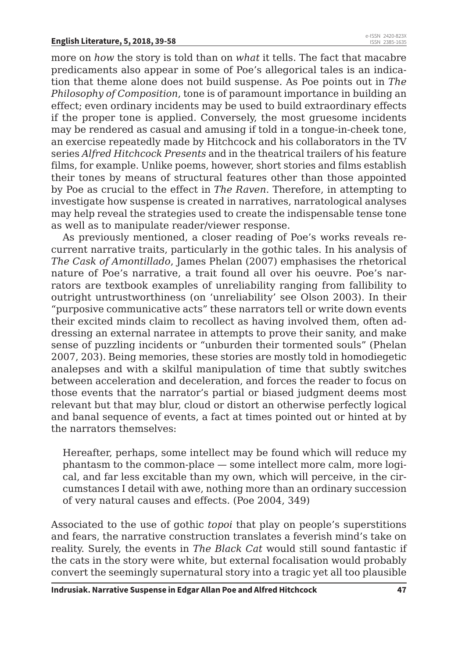more on *how* the story is told than on *what* it tells. The fact that macabre predicaments also appear in some of Poe's allegorical tales is an indication that theme alone does not build suspense. As Poe points out in *The Philosophy of Composition*, tone is of paramount importance in building an effect; even ordinary incidents may be used to build extraordinary effects if the proper tone is applied. Conversely, the most gruesome incidents may be rendered as casual and amusing if told in a tongue-in-cheek tone, an exercise repeatedly made by Hitchcock and his collaborators in the TV series *Alfred Hitchcock Presents* and in the theatrical trailers of his feature films, for example. Unlike poems, however, short stories and films establish their tones by means of structural features other than those appointed by Poe as crucial to the effect in *The Raven*. Therefore, in attempting to investigate how suspense is created in narratives, narratological analyses may help reveal the strategies used to create the indispensable tense tone as well as to manipulate reader/viewer response.

As previously mentioned, a closer reading of Poe's works reveals recurrent narrative traits, particularly in the gothic tales. In his analysis of *The Cask of Amontillado*, James Phelan (2007) emphasises the rhetorical nature of Poe's narrative, a trait found all over his oeuvre. Poe's narrators are textbook examples of unreliability ranging from fallibility to outright untrustworthiness (on 'unreliability' see Olson 2003). In their "purposive communicative acts" these narrators tell or write down events their excited minds claim to recollect as having involved them, often addressing an external narratee in attempts to prove their sanity, and make sense of puzzling incidents or "unburden their tormented souls" (Phelan 2007, 203). Being memories, these stories are mostly told in homodiegetic analepses and with a skilful manipulation of time that subtly switches between acceleration and deceleration, and forces the reader to focus on those events that the narrator's partial or biased judgment deems most relevant but that may blur, cloud or distort an otherwise perfectly logical and banal sequence of events, a fact at times pointed out or hinted at by the narrators themselves:

Hereafter, perhaps, some intellect may be found which will reduce my phantasm to the common-place — some intellect more calm, more logical, and far less excitable than my own, which will perceive, in the circumstances I detail with awe, nothing more than an ordinary succession of very natural causes and effects. (Poe 2004, 349)

Associated to the use of gothic *topoi* that play on people's superstitions and fears, the narrative construction translates a feverish mind's take on reality. Surely, the events in *The Black Cat* would still sound fantastic if the cats in the story were white, but external focalisation would probably convert the seemingly supernatural story into a tragic yet all too plausible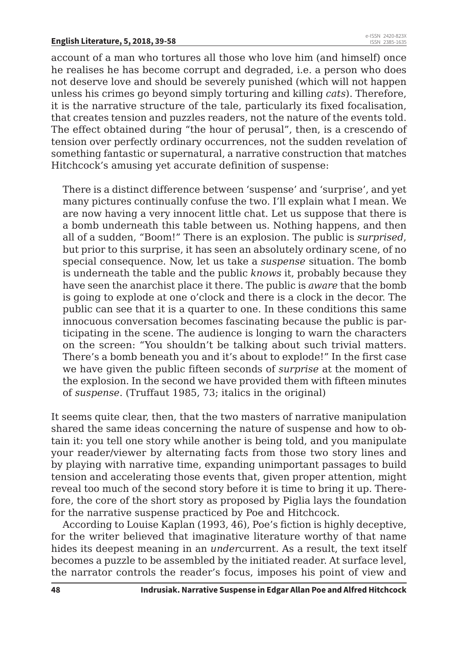account of a man who tortures all those who love him (and himself) once he realises he has become corrupt and degraded, i.e. a person who does not deserve love and should be severely punished (which will not happen unless his crimes go beyond simply torturing and killing *cats*). Therefore, it is the narrative structure of the tale, particularly its fixed focalisation, that creates tension and puzzles readers, not the nature of the events told. The effect obtained during "the hour of perusal", then, is a crescendo of tension over perfectly ordinary occurrences, not the sudden revelation of something fantastic or supernatural, a narrative construction that matches Hitchcock's amusing yet accurate definition of suspense:

There is a distinct difference between 'suspense' and 'surprise', and yet many pictures continually confuse the two. I'll explain what I mean. We are now having a very innocent little chat. Let us suppose that there is a bomb underneath this table between us. Nothing happens, and then all of a sudden, "Boom!" There is an explosion. The public is *surprised*, but prior to this surprise, it has seen an absolutely ordinary scene, of no special consequence. Now, let us take a *suspense* situation. The bomb is underneath the table and the public *knows* it, probably because they have seen the anarchist place it there. The public is *aware* that the bomb is going to explode at one o'clock and there is a clock in the decor. The public can see that it is a quarter to one. In these conditions this same innocuous conversation becomes fascinating because the public is participating in the scene. The audience is longing to warn the characters on the screen: "You shouldn't be talking about such trivial matters. There's a bomb beneath you and it's about to explode!" In the first case we have given the public fifteen seconds of *surprise* at the moment of the explosion. In the second we have provided them with fifteen minutes of *suspense*. (Truffaut 1985, 73; italics in the original)

It seems quite clear, then, that the two masters of narrative manipulation shared the same ideas concerning the nature of suspense and how to obtain it: you tell one story while another is being told, and you manipulate your reader/viewer by alternating facts from those two story lines and by playing with narrative time, expanding unimportant passages to build tension and accelerating those events that, given proper attention, might reveal too much of the second story before it is time to bring it up. Therefore, the core of the short story as proposed by Piglia lays the foundation for the narrative suspense practiced by Poe and Hitchcock.

According to Louise Kaplan (1993, 46), Poe's fiction is highly deceptive, for the writer believed that imaginative literature worthy of that name hides its deepest meaning in an *under*current. As a result, the text itself becomes a puzzle to be assembled by the initiated reader. At surface level, the narrator controls the reader's focus, imposes his point of view and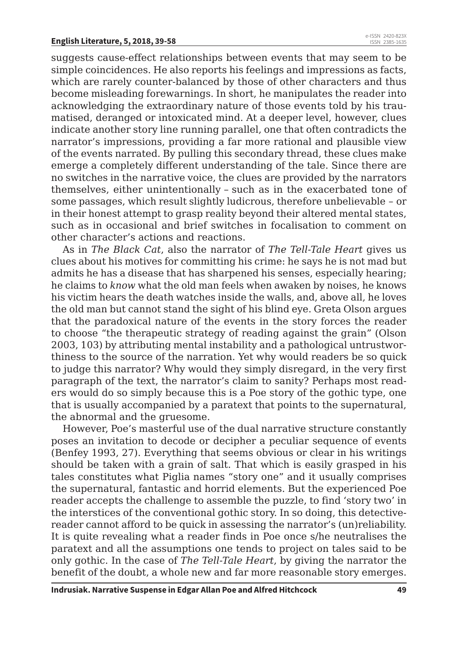suggests cause-effect relationships between events that may seem to be simple coincidences. He also reports his feelings and impressions as facts, which are rarely counter-balanced by those of other characters and thus become misleading forewarnings. In short, he manipulates the reader into acknowledging the extraordinary nature of those events told by his traumatised, deranged or intoxicated mind. At a deeper level, however, clues indicate another story line running parallel, one that often contradicts the narrator's impressions, providing a far more rational and plausible view of the events narrated. By pulling this secondary thread, these clues make emerge a completely different understanding of the tale. Since there are no switches in the narrative voice, the clues are provided by the narrators themselves, either unintentionally – such as in the exacerbated tone of some passages, which result slightly ludicrous, therefore unbelievable – or in their honest attempt to grasp reality beyond their altered mental states, such as in occasional and brief switches in focalisation to comment on other character's actions and reactions.

As in *The Black Cat*, also the narrator of *The Tell-Tale Heart* gives us clues about his motives for committing his crime: he says he is not mad but admits he has a disease that has sharpened his senses, especially hearing; he claims to *know* what the old man feels when awaken by noises, he knows his victim hears the death watches inside the walls, and, above all, he loves the old man but cannot stand the sight of his blind eye. Greta Olson argues that the paradoxical nature of the events in the story forces the reader to choose "the therapeutic strategy of reading against the grain" (Olson 2003, 103) by attributing mental instability and a pathological untrustworthiness to the source of the narration. Yet why would readers be so quick to judge this narrator? Why would they simply disregard, in the very first paragraph of the text, the narrator's claim to sanity? Perhaps most readers would do so simply because this is a Poe story of the gothic type, one that is usually accompanied by a paratext that points to the supernatural, the abnormal and the gruesome.

However, Poe's masterful use of the dual narrative structure constantly poses an invitation to decode or decipher a peculiar sequence of events (Benfey 1993, 27). Everything that seems obvious or clear in his writings should be taken with a grain of salt. That which is easily grasped in his tales constitutes what Piglia names "story one" and it usually comprises the supernatural, fantastic and horrid elements. But the experienced Poe reader accepts the challenge to assemble the puzzle, to find 'story two' in the interstices of the conventional gothic story. In so doing, this detectivereader cannot afford to be quick in assessing the narrator's (un)reliability. It is quite revealing what a reader finds in Poe once s/he neutralises the paratext and all the assumptions one tends to project on tales said to be only gothic. In the case of *The Tell-Tale Heart*, by giving the narrator the benefit of the doubt, a whole new and far more reasonable story emerges.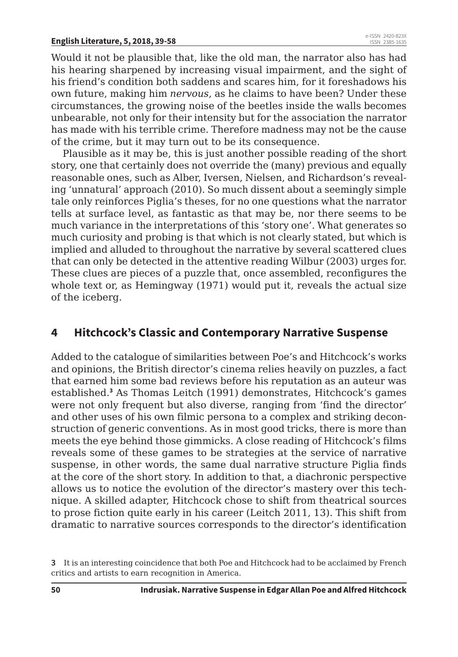Would it not be plausible that, like the old man, the narrator also has had his hearing sharpened by increasing visual impairment, and the sight of his friend's condition both saddens and scares him, for it foreshadows his own future, making him *nervous*, as he claims to have been? Under these circumstances, the growing noise of the beetles inside the walls becomes unbearable, not only for their intensity but for the association the narrator has made with his terrible crime. Therefore madness may not be the cause of the crime, but it may turn out to be its consequence.

Plausible as it may be, this is just another possible reading of the short story, one that certainly does not override the (many) previous and equally reasonable ones, such as Alber, Iversen, Nielsen, and Richardson's revealing 'unnatural' approach (2010). So much dissent about a seemingly simple tale only reinforces Piglia's theses, for no one questions what the narrator tells at surface level, as fantastic as that may be, nor there seems to be much variance in the interpretations of this 'story one'. What generates so much curiosity and probing is that which is not clearly stated, but which is implied and alluded to throughout the narrative by several scattered clues that can only be detected in the attentive reading Wilbur (2003) urges for. These clues are pieces of a puzzle that, once assembled, reconfigures the whole text or, as Hemingway (1971) would put it, reveals the actual size of the iceberg.

## **4 Hitchcock's Classic and Contemporary Narrative Suspense**

Added to the catalogue of similarities between Poe's and Hitchcock's works and opinions, the British director's cinema relies heavily on puzzles, a fact that earned him some bad reviews before his reputation as an auteur was established.**<sup>3</sup>** As Thomas Leitch (1991) demonstrates, Hitchcock's games were not only frequent but also diverse, ranging from 'find the director' and other uses of his own filmic persona to a complex and striking deconstruction of generic conventions. As in most good tricks, there is more than meets the eye behind those gimmicks. A close reading of Hitchcock's films reveals some of these games to be strategies at the service of narrative suspense, in other words, the same dual narrative structure Piglia finds at the core of the short story. In addition to that, a diachronic perspective allows us to notice the evolution of the director's mastery over this technique. A skilled adapter, Hitchcock chose to shift from theatrical sources to prose fiction quite early in his career (Leitch 2011, 13). This shift from dramatic to narrative sources corresponds to the director's identification

**<sup>3</sup>** It is an interesting coincidence that both Poe and Hitchcock had to be acclaimed by French critics and artists to earn recognition in America.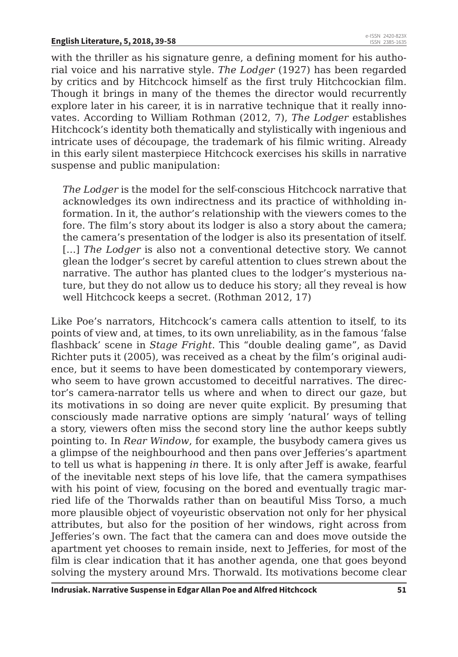with the thriller as his signature genre, a defining moment for his authorial voice and his narrative style. *The Lodger* (1927) has been regarded by critics and by Hitchcock himself as the first truly Hitchcockian film. Though it brings in many of the themes the director would recurrently explore later in his career, it is in narrative technique that it really innovates. According to William Rothman (2012, 7), *The Lodger* establishes Hitchcock's identity both thematically and stylistically with ingenious and intricate uses of découpage, the trademark of his filmic writing. Already in this early silent masterpiece Hitchcock exercises his skills in narrative suspense and public manipulation:

*The Lodger* is the model for the self-conscious Hitchcock narrative that acknowledges its own indirectness and its practice of withholding information. In it, the author's relationship with the viewers comes to the fore. The film's story about its lodger is also a story about the camera; the camera's presentation of the lodger is also its presentation of itself. [...] *The Lodger* is also not a conventional detective story. We cannot glean the lodger's secret by careful attention to clues strewn about the narrative. The author has planted clues to the lodger's mysterious nature, but they do not allow us to deduce his story; all they reveal is how well Hitchcock keeps a secret. (Rothman 2012, 17)

Like Poe's narrators, Hitchcock's camera calls attention to itself, to its points of view and, at times, to its own unreliability, as in the famous 'false flashback' scene in *Stage Fright*. This "double dealing game", as David Richter puts it (2005), was received as a cheat by the film's original audience, but it seems to have been domesticated by contemporary viewers, who seem to have grown accustomed to deceitful narratives. The director's camera-narrator tells us where and when to direct our gaze, but its motivations in so doing are never quite explicit. By presuming that consciously made narrative options are simply 'natural' ways of telling a story, viewers often miss the second story line the author keeps subtly pointing to. In *Rear Window*, for example, the busybody camera gives us a glimpse of the neighbourhood and then pans over Jefferies's apartment to tell us what is happening *in* there. It is only after Jeff is awake, fearful of the inevitable next steps of his love life, that the camera sympathises with his point of view, focusing on the bored and eventually tragic married life of the Thorwalds rather than on beautiful Miss Torso, a much more plausible object of voyeuristic observation not only for her physical attributes, but also for the position of her windows, right across from Jefferies's own. The fact that the camera can and does move outside the apartment yet chooses to remain inside, next to Jefferies, for most of the film is clear indication that it has another agenda, one that goes beyond solving the mystery around Mrs. Thorwald. Its motivations become clear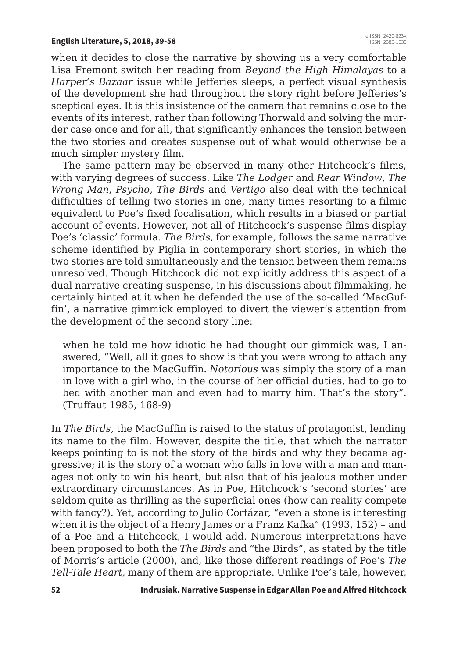when it decides to close the narrative by showing us a very comfortable Lisa Fremont switch her reading from *Beyond the High Himalayas* to a *Harper's Bazaar* issue while Jefferies sleeps, a perfect visual synthesis of the development she had throughout the story right before Jefferies's sceptical eyes. It is this insistence of the camera that remains close to the events of its interest, rather than following Thorwald and solving the murder case once and for all, that significantly enhances the tension between the two stories and creates suspense out of what would otherwise be a much simpler mystery film.

The same pattern may be observed in many other Hitchcock's films, with varying degrees of success. Like *The Lodger* and *Rear Window*, *The Wrong Man*, *Psycho*, *The Birds* and *Vertigo* also deal with the technical difficulties of telling two stories in one, many times resorting to a filmic equivalent to Poe's fixed focalisation, which results in a biased or partial account of events. However, not all of Hitchcock's suspense films display Poe's 'classic' formula. *The Birds*, for example, follows the same narrative scheme identified by Piglia in contemporary short stories, in which the two stories are told simultaneously and the tension between them remains unresolved. Though Hitchcock did not explicitly address this aspect of a dual narrative creating suspense, in his discussions about filmmaking, he certainly hinted at it when he defended the use of the so-called 'MacGuffin', a narrative gimmick employed to divert the viewer's attention from the development of the second story line:

when he told me how idiotic he had thought our gimmick was, I answered, "Well, all it goes to show is that you were wrong to attach any importance to the MacGuffin. *Notorious* was simply the story of a man in love with a girl who, in the course of her official duties, had to go to bed with another man and even had to marry him. That's the story". (Truffaut 1985, 168-9)

In *The Birds*, the MacGuffin is raised to the status of protagonist, lending its name to the film. However, despite the title, that which the narrator keeps pointing to is not the story of the birds and why they became aggressive; it is the story of a woman who falls in love with a man and manages not only to win his heart, but also that of his jealous mother under extraordinary circumstances. As in Poe, Hitchcock's 'second stories' are seldom quite as thrilling as the superficial ones (how can reality compete with fancy?). Yet, according to Julio Cortázar, "even a stone is interesting when it is the object of a Henry James or a Franz Kafka" (1993, 152) – and of a Poe and a Hitchcock, I would add. Numerous interpretations have been proposed to both the *The Birds* and "the Birds", as stated by the title of Morris's article (2000), and, like those different readings of Poe's *The Tell-Tale Heart*, many of them are appropriate. Unlike Poe's tale, however,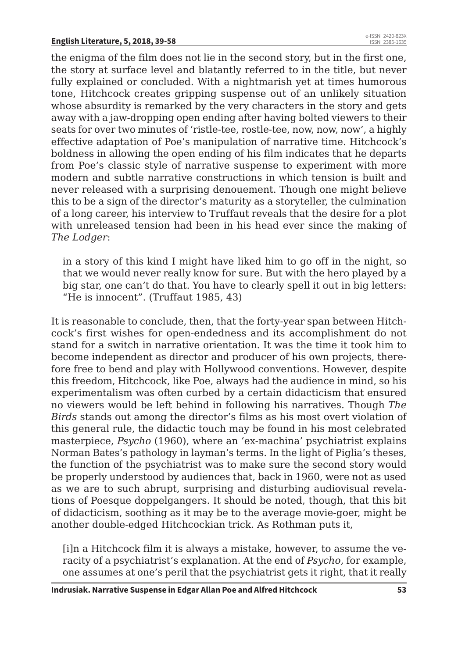the enigma of the film does not lie in the second story, but in the first one, the story at surface level and blatantly referred to in the title, but never fully explained or concluded. With a nightmarish yet at times humorous tone, Hitchcock creates gripping suspense out of an unlikely situation whose absurdity is remarked by the very characters in the story and gets away with a jaw-dropping open ending after having bolted viewers to their seats for over two minutes of 'ristle-tee, rostle-tee, now, now, now', a highly effective adaptation of Poe's manipulation of narrative time. Hitchcock's boldness in allowing the open ending of his film indicates that he departs from Poe's classic style of narrative suspense to experiment with more modern and subtle narrative constructions in which tension is built and never released with a surprising denouement. Though one might believe this to be a sign of the director's maturity as a storyteller, the culmination of a long career, his interview to Truffaut reveals that the desire for a plot with unreleased tension had been in his head ever since the making of *The Lodger*:

in a story of this kind I might have liked him to go off in the night, so that we would never really know for sure. But with the hero played by a big star, one can't do that. You have to clearly spell it out in big letters: "He is innocent". (Truffaut 1985, 43)

It is reasonable to conclude, then, that the forty-year span between Hitchcock's first wishes for open-endedness and its accomplishment do not stand for a switch in narrative orientation. It was the time it took him to become independent as director and producer of his own projects, therefore free to bend and play with Hollywood conventions. However, despite this freedom, Hitchcock, like Poe, always had the audience in mind, so his experimentalism was often curbed by a certain didacticism that ensured no viewers would be left behind in following his narratives. Though *The Birds* stands out among the director's films as his most overt violation of this general rule, the didactic touch may be found in his most celebrated masterpiece, *Psycho* (1960), where an 'ex-machina' psychiatrist explains Norman Bates's pathology in layman's terms. In the light of Piglia's theses, the function of the psychiatrist was to make sure the second story would be properly understood by audiences that, back in 1960, were not as used as we are to such abrupt, surprising and disturbing audiovisual revelations of Poesque doppelgangers. It should be noted, though, that this bit of didacticism, soothing as it may be to the average movie-goer, might be another double-edged Hitchcockian trick. As Rothman puts it,

[i]n a Hitchcock film it is always a mistake, however, to assume the veracity of a psychiatrist's explanation. At the end of *Psycho*, for example, one assumes at one's peril that the psychiatrist gets it right, that it really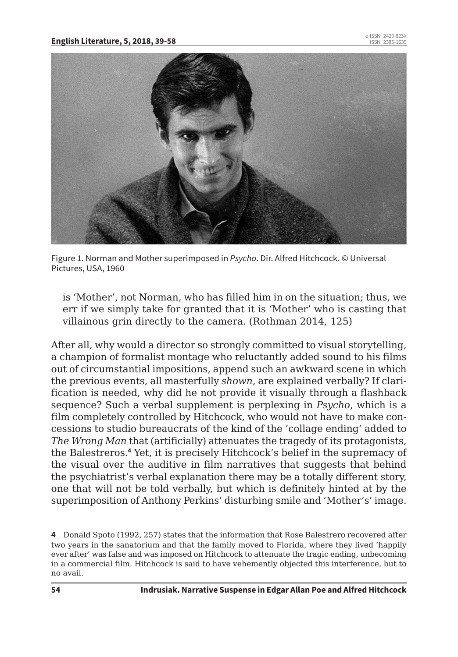

Figure 1. Norman and Mother superimposed in *Psycho*. Dir. Alfred Hitchcock. © Universal Pictures, USA, 1960

is 'Mother', not Norman, who has filled him in on the situation; thus, we err if we simply take for granted that it is 'Mother' who is casting that villainous grin directly to the camera. (Rothman 2014, 125)

After all, why would a director so strongly committed to visual storytelling, a champion of formalist montage who reluctantly added sound to his films out of circumstantial impositions, append such an awkward scene in which the previous events, all masterfully *shown*, are explained verbally? If clarification is needed, why did he not provide it visually through a flashback sequence? Such a verbal supplement is perplexing in *Psycho*, which is a film completely controlled by Hitchcock, who would not have to make concessions to studio bureaucrats of the kind of the 'collage ending' added to *The Wrong Man* that (artificially) attenuates the tragedy of its protagonists, the Balestreros.**<sup>4</sup>** Yet, it is precisely Hitchcock's belief in the supremacy of the visual over the auditive in film narratives that suggests that behind the psychiatrist's verbal explanation there may be a totally different story, one that will not be told verbally, but which is definitely hinted at by the superimposition of Anthony Perkins' disturbing smile and 'Mother's' image.

**<sup>4</sup>** Donald Spoto (1992, 257) states that the information that Rose Balestrero recovered after two years in the sanatorium and that the family moved to Florida, where they lived 'happily ever after' was false and was imposed on Hitchcock to attenuate the tragic ending, unbecoming in a commercial film. Hitchcock is said to have vehemently objected this interference, but to no avail.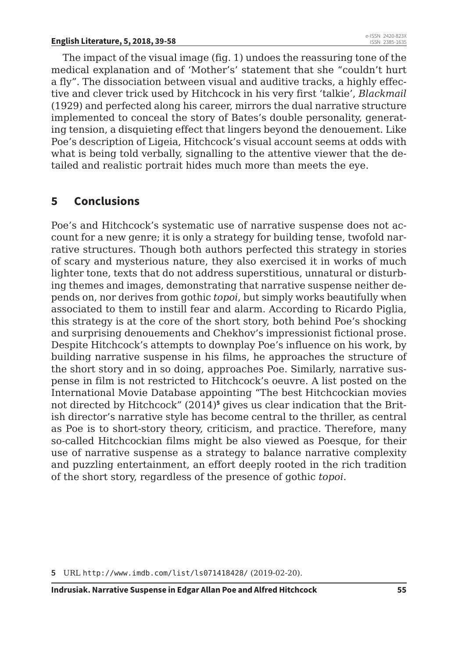The impact of the visual image (fig. 1) undoes the reassuring tone of the medical explanation and of 'Mother's' statement that she "couldn't hurt a fly". The dissociation between visual and auditive tracks, a highly effective and clever trick used by Hitchcock in his very first 'talkie', *Blackmail* (1929) and perfected along his career, mirrors the dual narrative structure implemented to conceal the story of Bates's double personality, generating tension, a disquieting effect that lingers beyond the denouement. Like Poe's description of Ligeia, Hitchcock's visual account seems at odds with what is being told verbally, signalling to the attentive viewer that the detailed and realistic portrait hides much more than meets the eye.

## **5 Conclusions**

Poe's and Hitchcock's systematic use of narrative suspense does not account for a new genre; it is only a strategy for building tense, twofold narrative structures. Though both authors perfected this strategy in stories of scary and mysterious nature, they also exercised it in works of much lighter tone, texts that do not address superstitious, unnatural or disturbing themes and images, demonstrating that narrative suspense neither depends on, nor derives from gothic *topoi*, but simply works beautifully when associated to them to instill fear and alarm. According to Ricardo Piglia, this strategy is at the core of the short story, both behind Poe's shocking and surprising denouements and Chekhov's impressionist fictional prose. Despite Hitchcock's attempts to downplay Poe's influence on his work, by building narrative suspense in his films, he approaches the structure of the short story and in so doing, approaches Poe. Similarly, narrative suspense in film is not restricted to Hitchcock's oeuvre. A list posted on the International Movie Database appointing "The best Hitchcockian movies not directed by Hitchcock" (2014)**<sup>5</sup>** gives us clear indication that the British director's narrative style has become central to the thriller, as central as Poe is to short-story theory, criticism, and practice. Therefore, many so-called Hitchcockian films might be also viewed as Poesque, for their use of narrative suspense as a strategy to balance narrative complexity and puzzling entertainment, an effort deeply rooted in the rich tradition of the short story, regardless of the presence of gothic *topoi*.

**<sup>5</sup>** URL http://www.imdb.com/list/ls071418428/ (2019-02-20).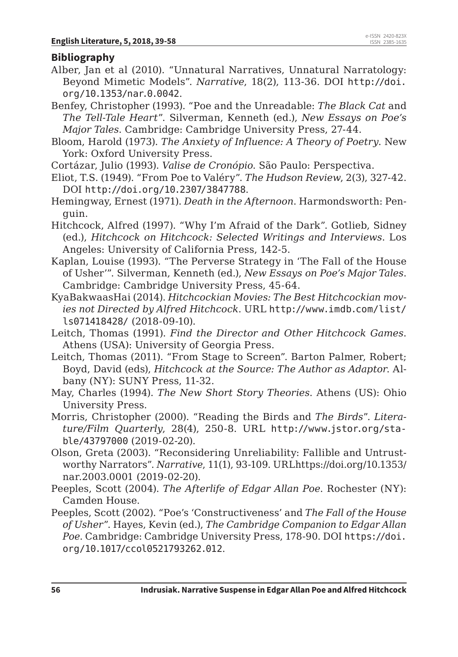#### **Bibliography**

- Alber, Jan et al (2010). "Unnatural Narratives, Unnatural Narratology: Beyond Mimetic Models". *Narrative*, 18(2), 113-36. DOI http://doi. org/10.1353/nar.0.0042.
- Benfey, Christopher (1993). "Poe and the Unreadable: *The Black Cat* and *The Tell-Tale Heart*". Silverman, Kenneth (ed.), *New Essays on Poe's Major Tales*. Cambridge: Cambridge University Press, 27-44.
- Bloom, Harold (1973). *The Anxiety of Influence: A Theory of Poetry*. New York: Oxford University Press.
- Cortázar, Julio (1993). *Valise de Cronópio*. São Paulo: Perspectiva.
- Eliot, T.S. (1949). "From Poe to Valéry". *The Hudson Review*, 2(3), 327-42. DOI http://doi.org/10.2307/3847788.
- Hemingway, Ernest (1971). *Death in the Afternoon*. Harmondsworth: Penguin.
- Hitchcock, Alfred (1997). "Why I'm Afraid of the Dark". Gotlieb, Sidney (ed.), *Hitchcock on Hitchcock: Selected Writings and Interviews*. Los Angeles: University of California Press, 142-5.
- Kaplan, Louise (1993). "The Perverse Strategy in 'The Fall of the House of Usher'". Silverman, Kenneth (ed.), *New Essays on Poe's Major Tales*. Cambridge: Cambridge University Press, 45-64.
- KyaBakwaasHai (2014). *Hitchcockian Movies: The Best Hitchcockian movies not Directed by Alfred Hitchcock*. URL http://www.imdb.com/list/ ls071418428/ (2018-09-10).
- Leitch, Thomas (1991). *Find the Director and Other Hitchcock Games*. Athens (USA): University of Georgia Press.
- Leitch, Thomas (2011). "From Stage to Screen". Barton Palmer, Robert; Boyd, David (eds), *Hitchcock at the Source: The Author as Adaptor*. Albany (NY): SUNY Press, 11-32.
- May, Charles (1994). *The New Short Story Theories*. Athens (US): Ohio University Press.
- Morris, Christopher (2000). "Reading the Birds and *The Birds*". *Literature/Film Quarterly*, 28(4), 250-8. URL http://www.jstor.org/stable/43797000 (2019-02-20).
- Olson, Greta (2003). "Reconsidering Unreliability: Fallible and Untrustworthy Narrators". *Narrative*, 11(1), 93-109. URLhttps://doi.org/10.1353/ nar.2003.0001 (2019-02-20).
- Peeples, Scott (2004). *The Afterlife of Edgar Allan Poe*. Rochester (NY): Camden House.
- Peeples, Scott (2002). "Poe's 'Constructiveness' and *The Fall of the House of Usher*". Hayes, Kevin (ed.), *The Cambridge Companion to Edgar Allan Poe*. Cambridge: Cambridge University Press, 178-90. DOI https://doi. org/10.1017/ccol0521793262.012.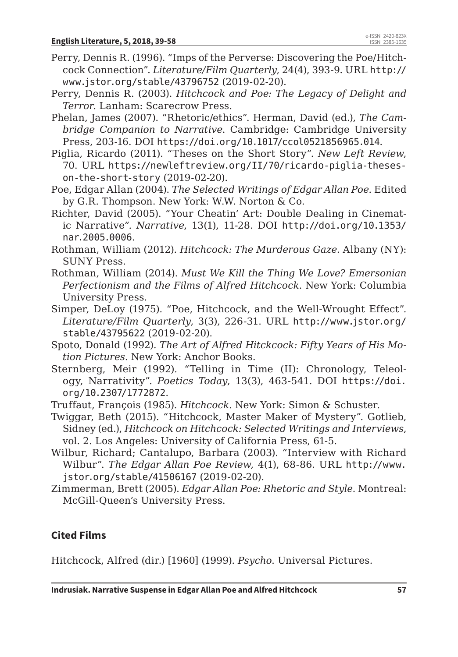- Perry, Dennis R. (1996). "Imps of the Perverse: Discovering the Poe/Hitchcock Connection". *Literature/Film Quarterly*, 24(4), 393-9. URL http:// www.jstor.org/stable/43796752 (2019-02-20).
- Perry, Dennis R. (2003). *Hitchcock and Poe: The Legacy of Delight and Terror*. Lanham: Scarecrow Press.
- Phelan, James (2007). "Rhetoric/ethics". Herman, David (ed.), *The Cambridge Companion to Narrative*. Cambridge: Cambridge University Press, 203-16. DOI https://doi.org/10.1017/ccol0521856965.014.
- Piglia, Ricardo (2011). "Theses on the Short Story". *New Left Review*, 70. URL https://newleftreview.org/II/70/ricardo-piglia-theseson-the-short-story (2019-02-20).
- Poe, Edgar Allan (2004). *The Selected Writings of Edgar Allan Poe*. Edited by G.R. Thompson. New York: W.W. Norton & Co.
- Richter, David (2005). "Your Cheatin' Art: Double Dealing in Cinematic Narrative". *Narrative*, 13(1), 11-28. DOI http://doi.org/10.1353/ nar.2005.0006.
- Rothman, William (2012). *Hitchcock: The Murderous Gaze*. Albany (NY): SUNY Press.
- Rothman, William (2014). *Must We Kill the Thing We Love? Emersonian Perfectionism and the Films of Alfred Hitchcock*. New York: Columbia University Press.
- Simper, DeLoy (1975). "Poe, Hitchcock, and the Well-Wrought Effect". *Literature/Film Quarterly*, 3(3), 226-31. URL http://www.jstor.org/ stable/43795622 (2019-02-20).
- Spoto, Donald (1992). *The Art of Alfred Hitckcock: Fifty Years of His Motion Pictures*. New York: Anchor Books.
- Sternberg, Meir (1992). "Telling in Time (II): Chronology, Teleology, Narrativity". *Poetics Today*, 13(3), 463-541. DOI https://doi. org/10.2307/1772872.
- Truffaut, François (1985). *Hitchcock*. New York: Simon & Schuster.
- Twiggar, Beth (2015). "Hitchcock, Master Maker of Mystery". Gotlieb, Sidney (ed.), *Hitchcock on Hitchcock: Selected Writings and Interviews*, vol. 2. Los Angeles: University of California Press, 61-5.
- Wilbur, Richard; Cantalupo, Barbara (2003). "Interview with Richard Wilbur". *The Edgar Allan Poe Review*, 4(1), 68-86. URL http://www. jstor.org/stable/41506167 (2019-02-20).
- Zimmerman, Brett (2005). *Edgar Allan Poe: Rhetoric and Style*. Montreal: McGill-Queen's University Press.

## **Cited Films**

Hitchcock, Alfred (dir.) [1960] (1999). *Psycho*. Universal Pictures.